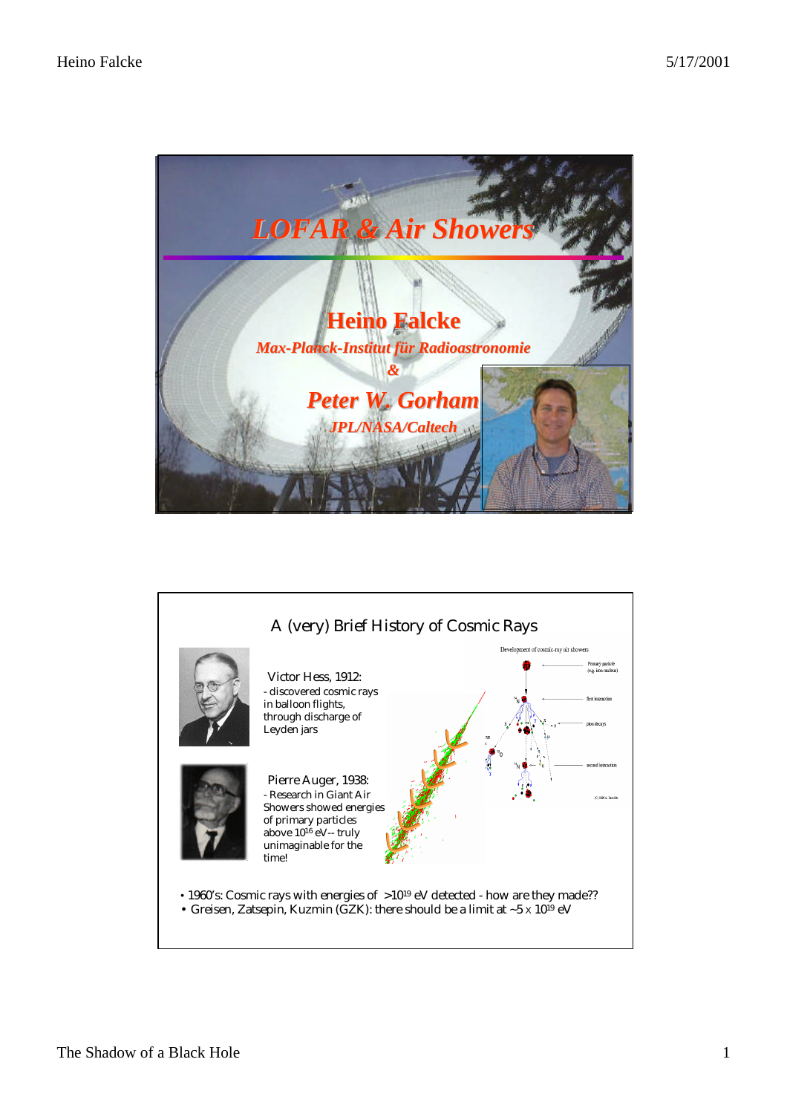

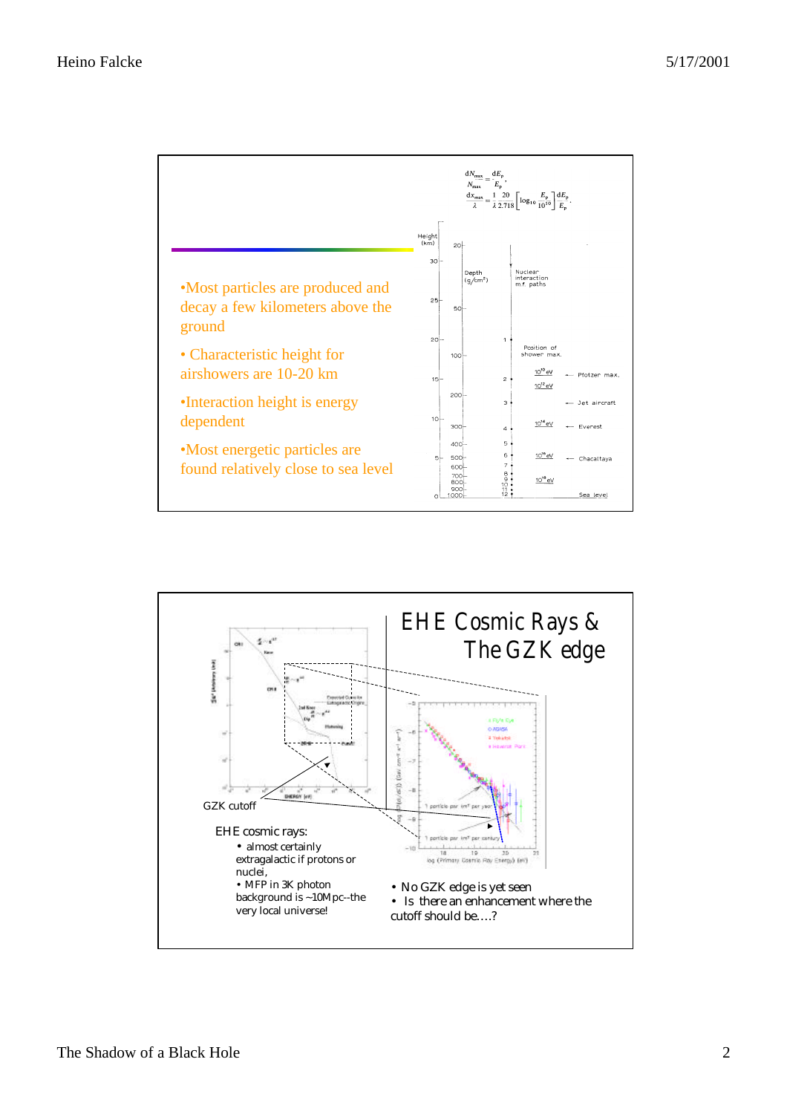

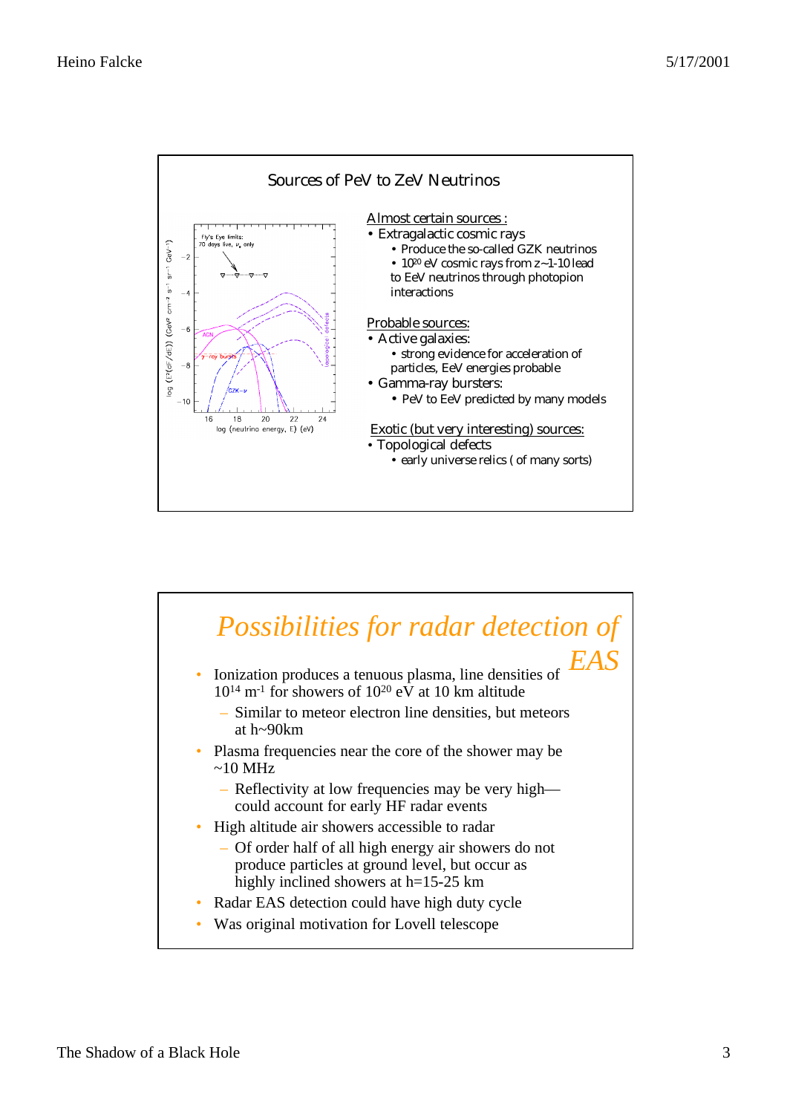

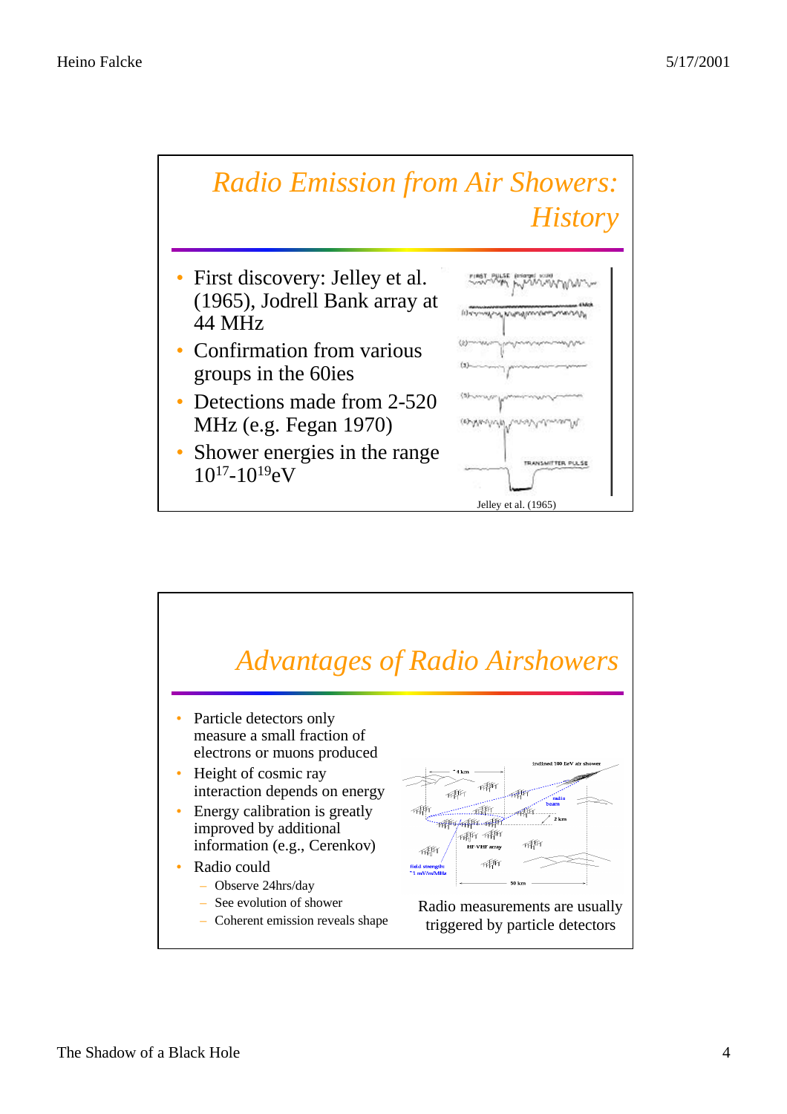

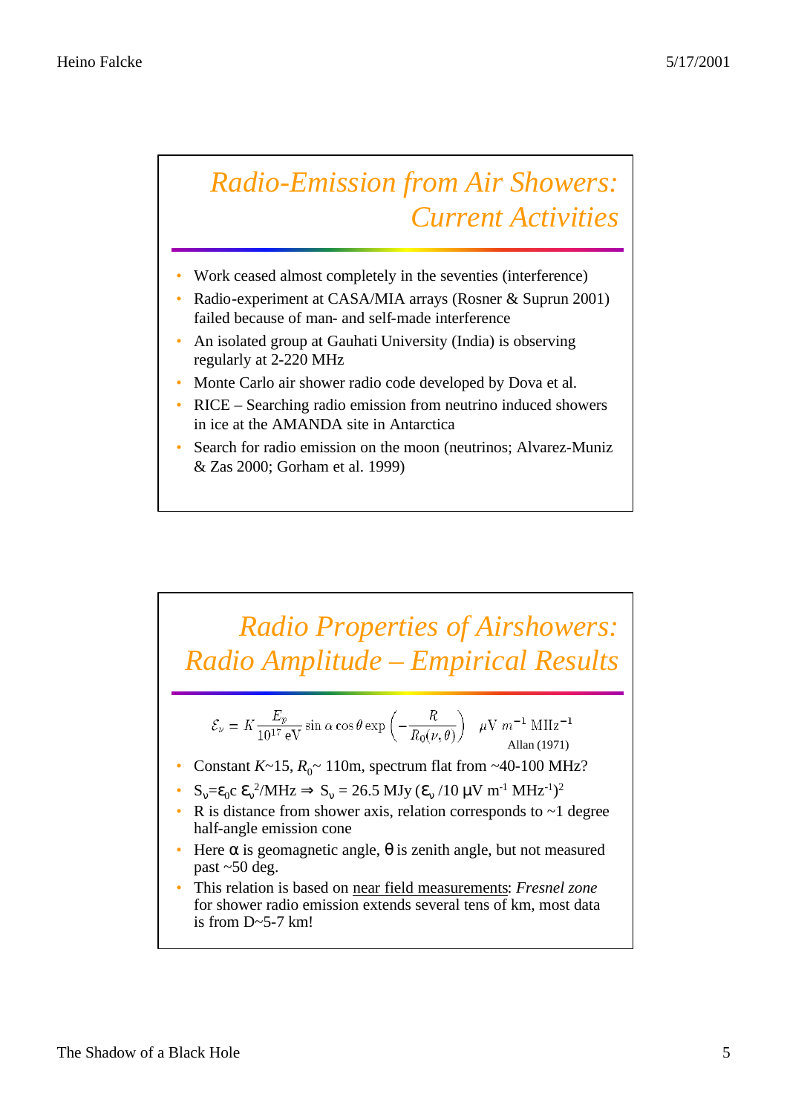## *Radio-Emission from Air Showers: Current Activities*

- Work ceased almost completely in the seventies (interference)
- Radio-experiment at CASA/MIA arrays (Rosner & Suprun 2001) failed because of man- and self-made interference
- An isolated group at Gauhati University (India) is observing regularly at 2-220 MHz
- Monte Carlo air shower radio code developed by Dova et al.
- RICE Searching radio emission from neutrino induced showers in ice at the AMANDA site in Antarctica
- Search for radio emission on the moon (neutrinos; Alvarez-Muniz & Zas 2000; Gorham et al. 1999)

## *Radio Properties of Airshowers: Radio Amplitude – Empirical Results*

$$
\mathcal{E}_{\nu} = K \frac{E_p}{10^{17} \text{ eV}} \sin \alpha \cos \theta \exp \left(-\frac{R}{R_0(\nu, \theta)}\right) \mu \text{V m}^{-1} \text{ MHz}^{-1}
$$

- Constant  $K \sim 15$ ,  $R_0 \sim 110$ m, spectrum flat from  $\sim 40$ -100 MHz?
- $S_v = \varepsilon_0 c \, \mathbf{e}_v^2 / MHz \Rightarrow S_v = 26.5 \, MJy \, (\mathbf{e}_v / 10 \, \mu V \, m^{-1} \, MHz^{-1})^2$
- R is distance from shower axis, relation corresponds to  $\sim$  1 degree half-angle emission cone
- Here  $\alpha$  is geomagnetic angle,  $\theta$  is zenith angle, but not measured past ~50 deg.
- This relation is based on near field measurements: *Fresnel zone* for shower radio emission extends several tens of km, most data is from  $D \sim 5-7$  km!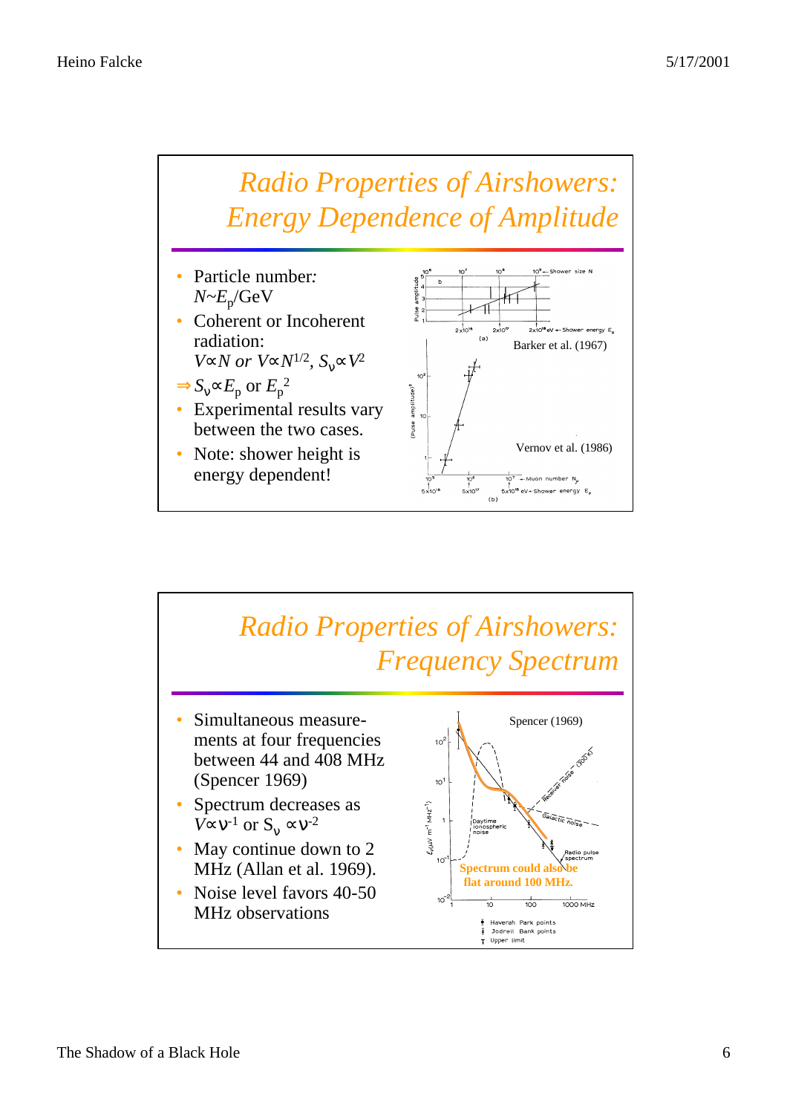

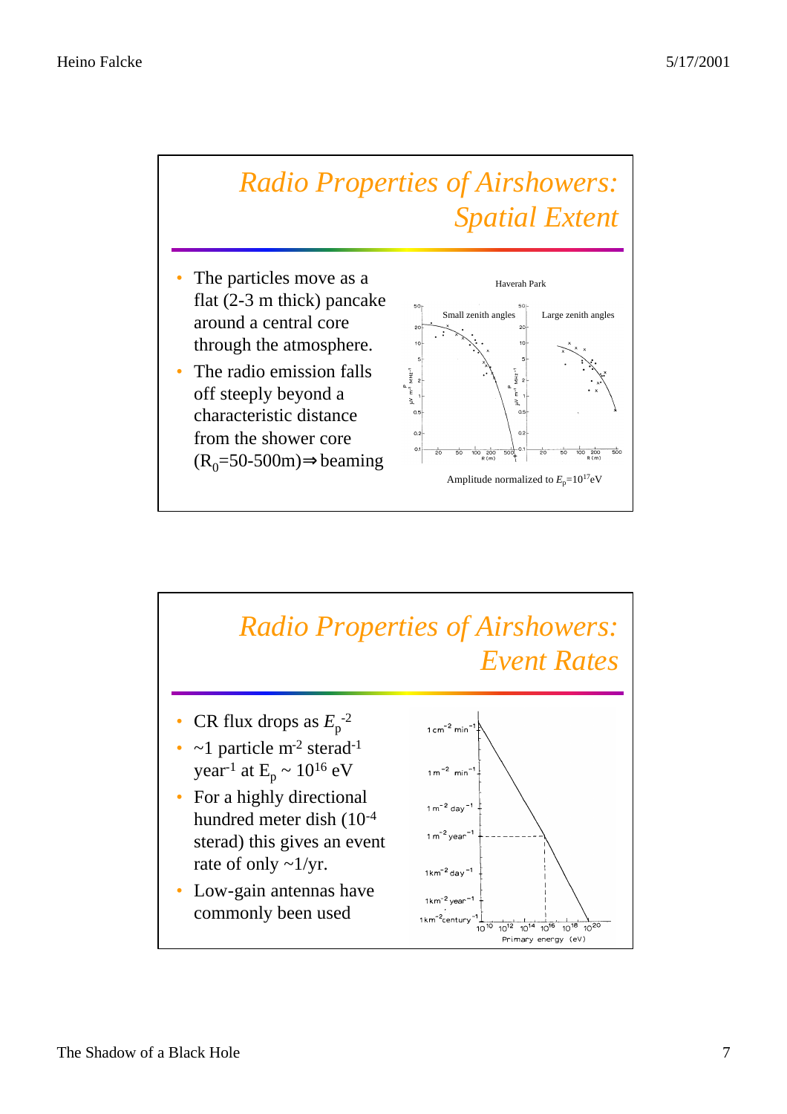

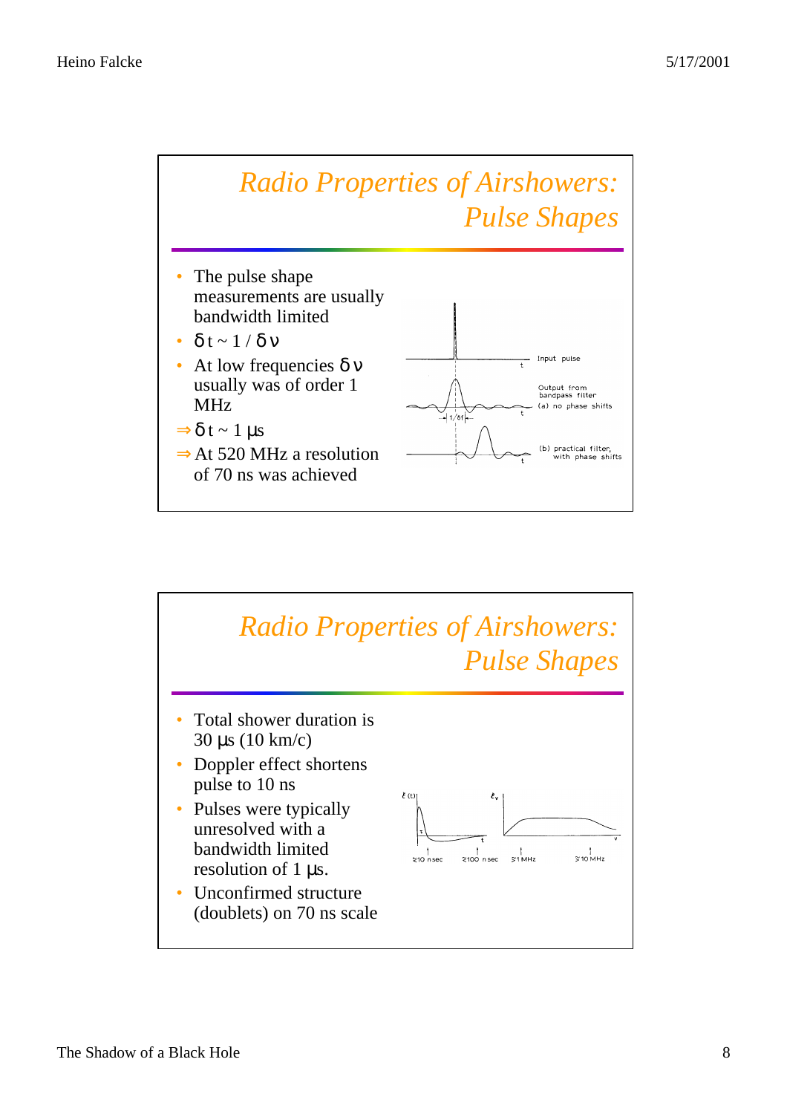

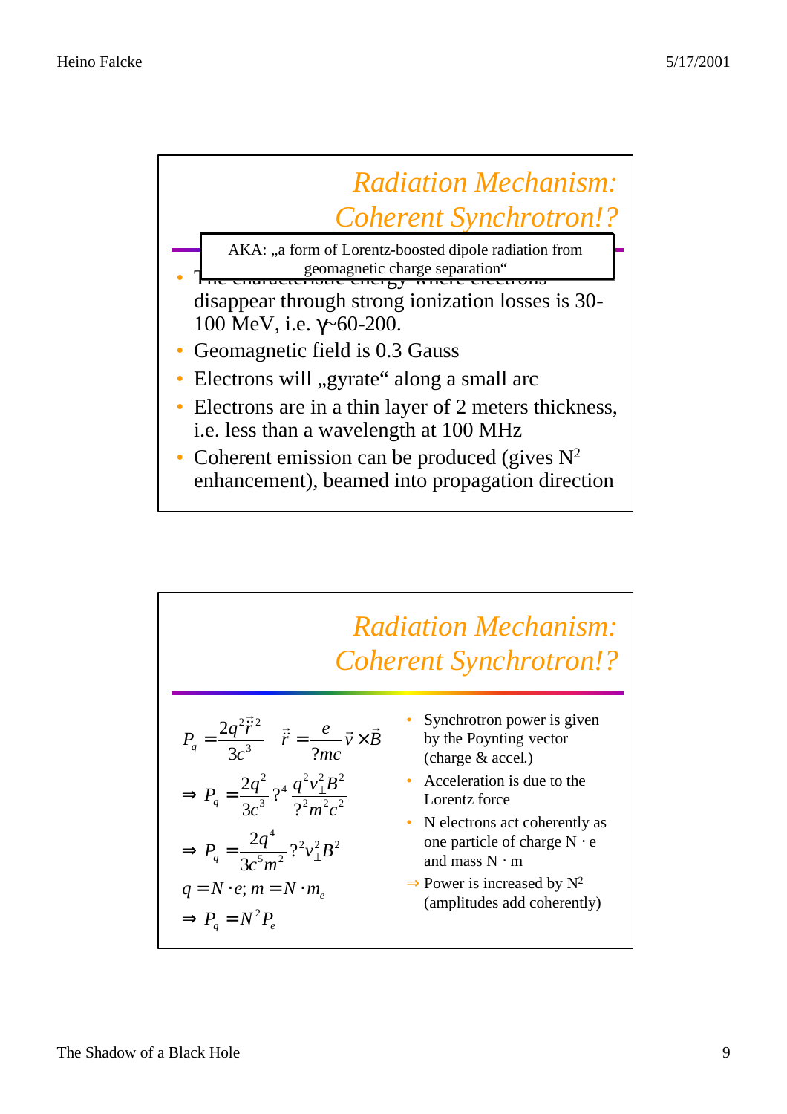

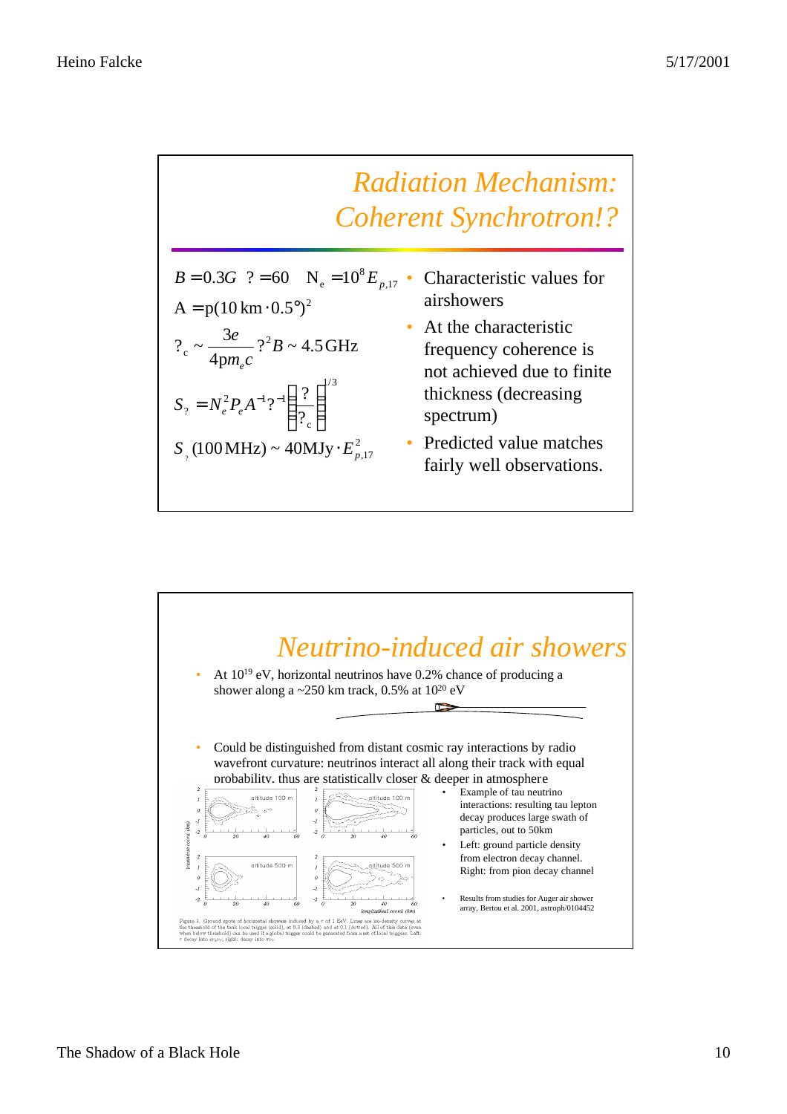

| $B = 0.3G$ ? = 60 N <sub>e</sub> = 10 <sup>8</sup> E <sub>p</sub> |
|-------------------------------------------------------------------|
| $A = p(10 \text{ km} \cdot 0.5^{\circ})^2$                        |
| ?. $\sim \frac{3e}{4pm_e c}$ ? <sup>2</sup> B ~ 4.5GHz            |
| $S_? = N_e^2 P_e A^{-1} ?^{-1} \left(\frac{?}{?_c}\right)^{1/2}$  |
| $S_{\gamma}$ (100 MHz) ~ 40 MJy · $E_{p,17}^2$                    |
|                                                                   |

- $_{17}$  Characteristic values for airshowers
	- At the characteristic frequency coherence is not achieved due to finite thickness (decreasing spectrum)
	- Predicted value matches fairly well observations.

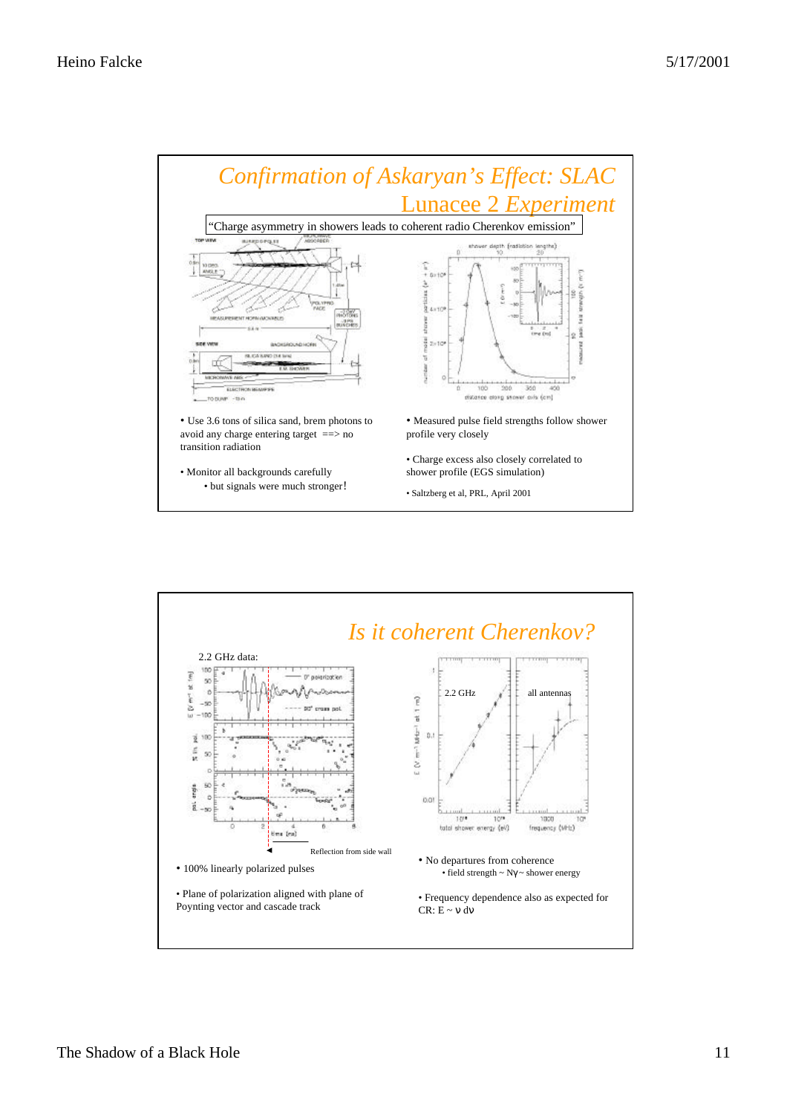

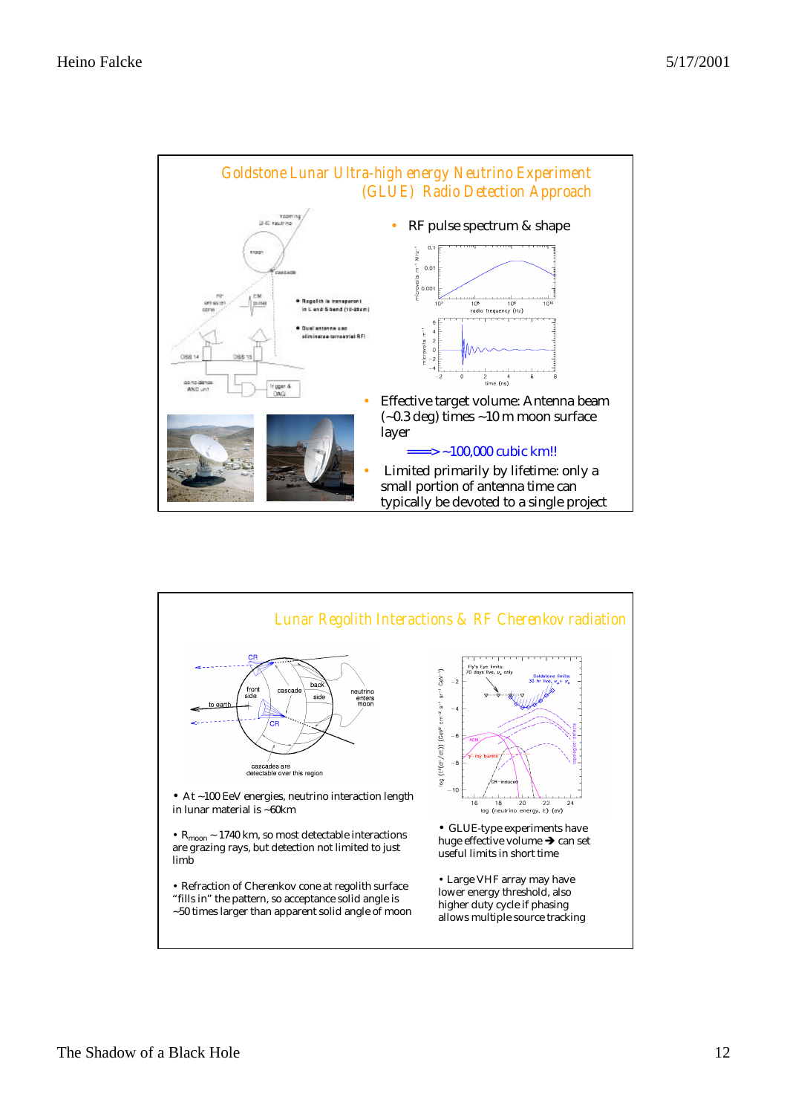

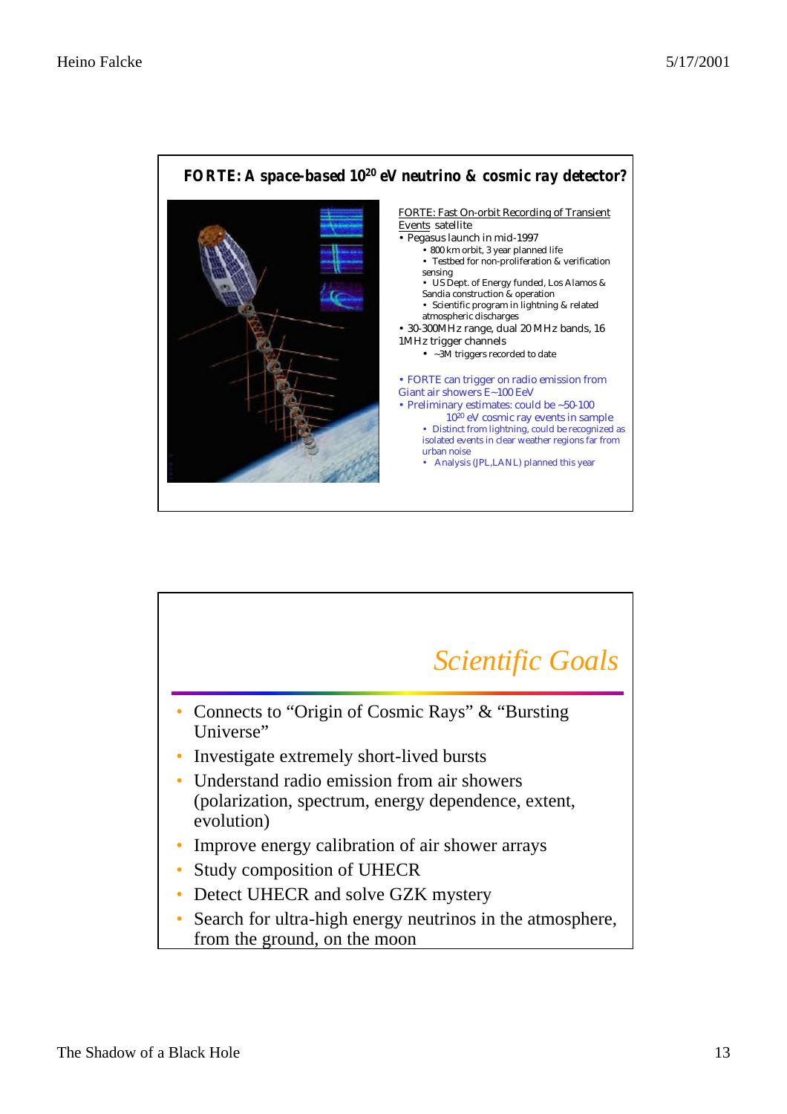

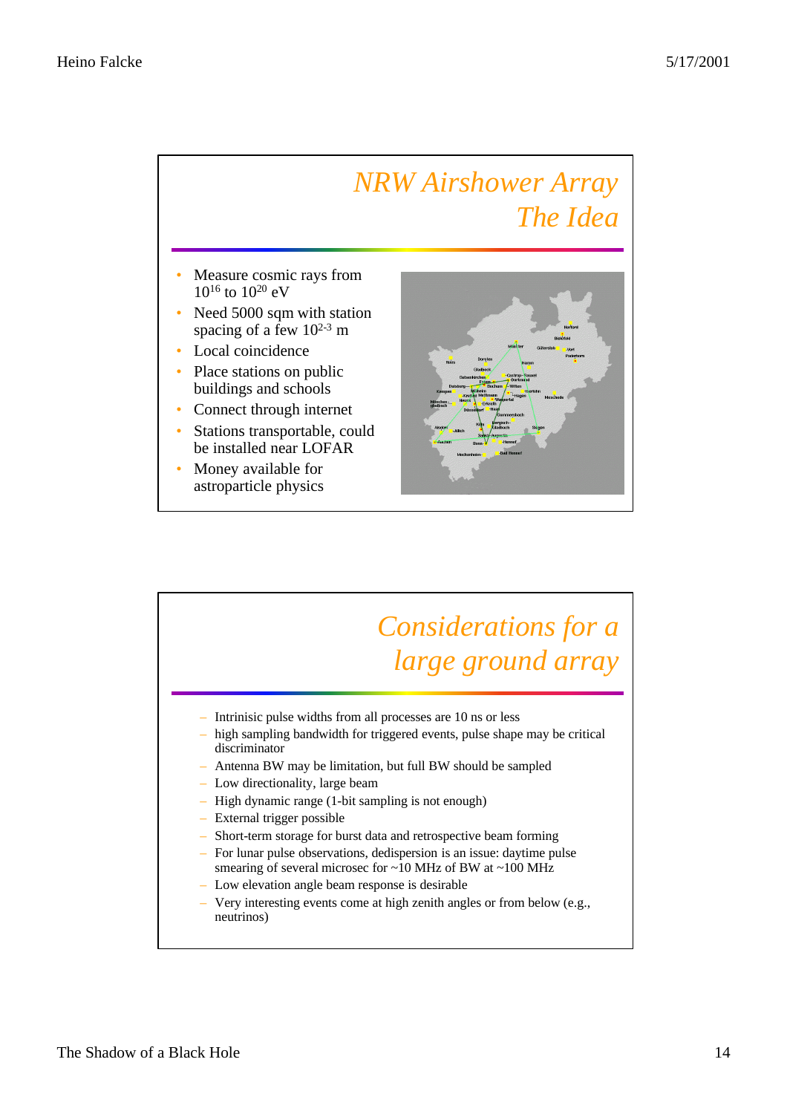## *NRW Airshower Array The Idea*

- Measure cosmic rays from 10<sup>16</sup> to 10<sup>20</sup> eV
- Need 5000 sqm with station spacing of a few  $10^{2-3}$  m
- Local coincidence
- Place stations on public buildings and schools
- Connect through internet
- Stations transportable, could be installed near LOFAR
- Money available for astroparticle physics



## *Considerations for a large ground array*

- Intrinisic pulse widths from all processes are 10 ns or less
- high sampling bandwidth for triggered events, pulse shape may be critical discriminator
- Antenna BW may be limitation, but full BW should be sampled
- Low directionality, large beam
- High dynamic range (1-bit sampling is not enough)
- External trigger possible
- Short-term storage for burst data and retrospective beam forming
- For lunar pulse observations, dedispersion is an issue: daytime pulse smearing of several microsec for ~10 MHz of BW at ~100 MHz
- Low elevation angle beam response is desirable
- Very interesting events come at high zenith angles or from below (e.g., neutrinos)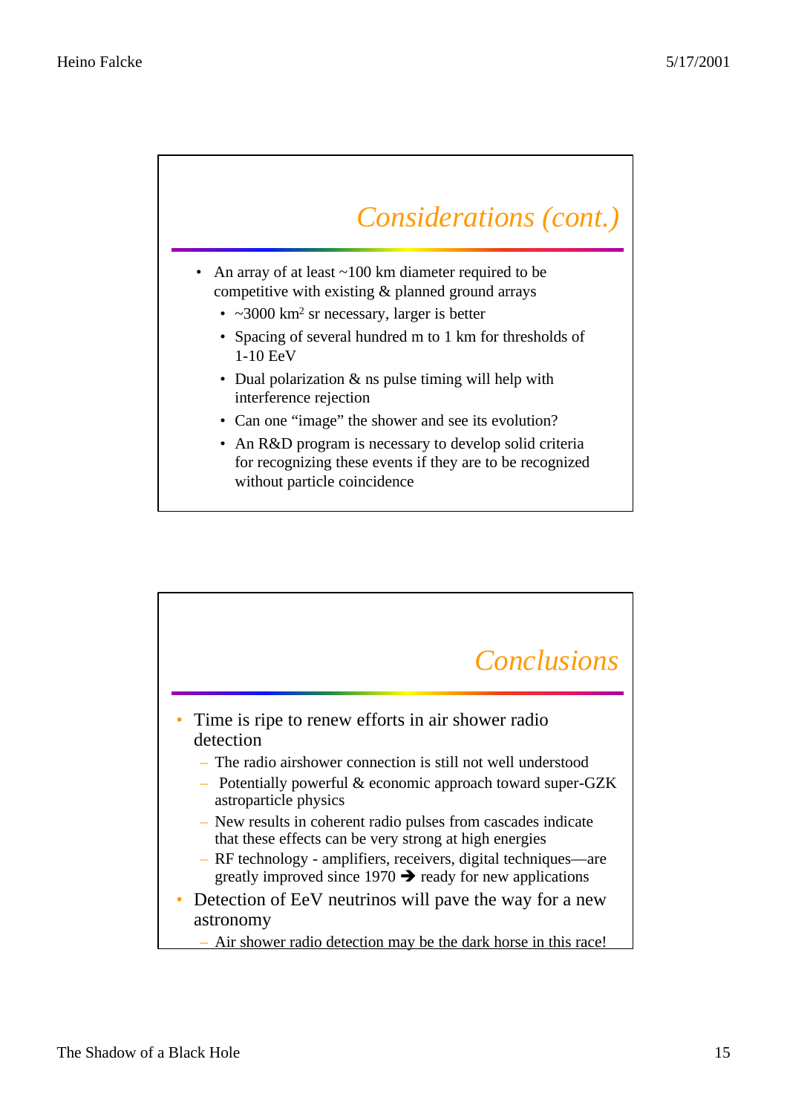